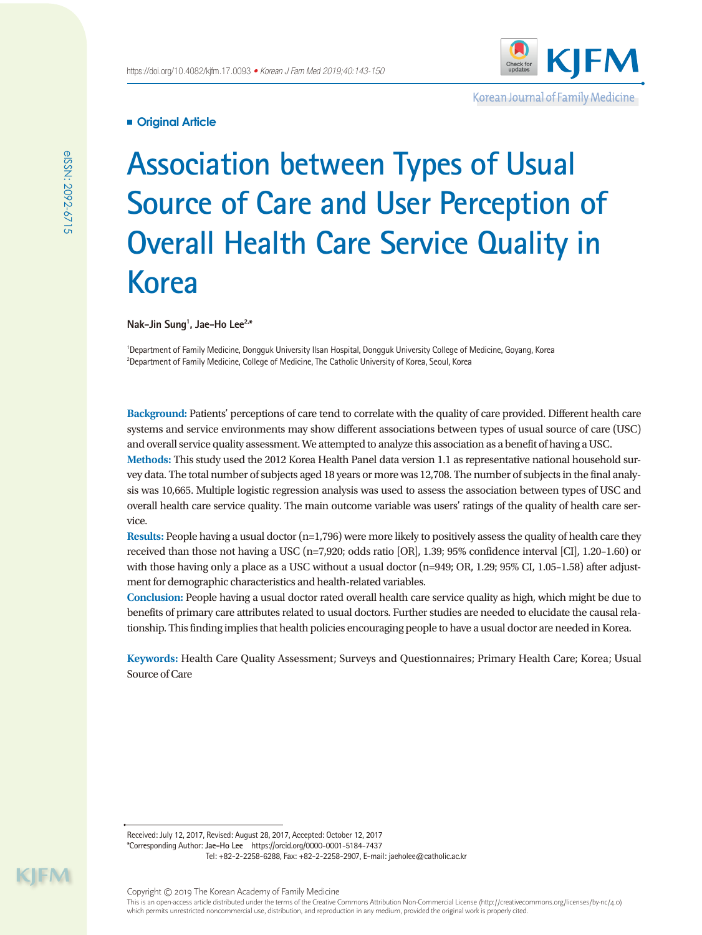

Korean Journal of Family Medicine

# **Original Article**

# **Association between Types of Usual Source of Care and User Perception of Overall Health Care Service Quality in Korea**

**Nak-Jin Sung1 , Jae-Ho Lee2,\***

1 Department of Family Medicine, Dongguk University Ilsan Hospital, Dongguk University College of Medicine, Goyang, Korea  $^{2}$ Department of Family Medicine, College of Medicine, The Catholic University of Korea, Seoul, Korea

**Background:** Patients' perceptions of care tend to correlate with the quality of care provided. Different health care systems and service environments may show different associations between types of usual source of care (USC) and overall service quality assessment. We attempted to analyze this association as a benefit of having a USC.

**Methods:** This study used the 2012 Korea Health Panel data version 1.1 as representative national household survey data. The total number of subjects aged 18 years or more was 12,708. The number of subjects in the final analysis was 10,665. Multiple logistic regression analysis was used to assess the association between types of USC and overall health care service quality. The main outcome variable was users' ratings of the quality of health care service.

**Results:** People having a usual doctor (n=1,796) were more likely to positively assess the quality of health care they received than those not having a USC (n=7,920; odds ratio [OR], 1.39; 95% confidence interval [CI], 1.20–1.60) or with those having only a place as a USC without a usual doctor (n=949; OR, 1.29; 95% CI, 1.05–1.58) after adjustment for demographic characteristics and health-related variables.

**Conclusion:** People having a usual doctor rated overall health care service quality as high, which might be due to benefits of primary care attributes related to usual doctors. Further studies are needed to elucidate the causal relationship. This finding implies that health policies encouraging people to have a usual doctor are needed in Korea.

**Keywords:** Health Care Quality Assessment; Surveys and Questionnaires; Primary Health Care; Korea; Usual Source of Care

Received: July 12, 2017, Revised: August 28, 2017, Accepted: October 12, 2017 \*Corresponding Author: **Jae-Ho Lee** https://orcid.org/0000-0001-5184-7437

Tel: +82-2-2258-6288, Fax: +82-2-2258-2907, E-mail: jaeholee@catholic.ac.kr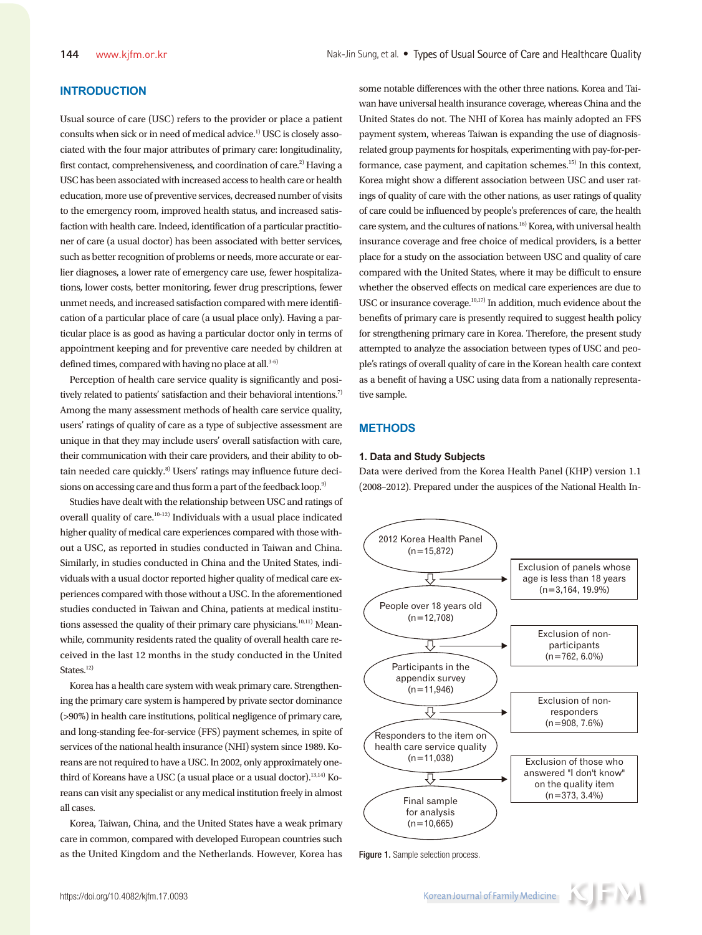# **INTRODUCTION**

Usual source of care (USC) refers to the provider or place a patient consults when sick or in need of medical advice.<sup>1)</sup> USC is closely associated with the four major attributes of primary care: longitudinality, first contact, comprehensiveness, and coordination of care.<sup>2)</sup> Having a USC has been associated with increased access to health care or health education, more use of preventive services, decreased number of visits to the emergency room, improved health status, and increased satisfaction with health care. Indeed, identification of a particular practitioner of care (a usual doctor) has been associated with better services, such as better recognition of problems or needs, more accurate or earlier diagnoses, a lower rate of emergency care use, fewer hospitalizations, lower costs, better monitoring, fewer drug prescriptions, fewer unmet needs, and increased satisfaction compared with mere identification of a particular place of care (a usual place only). Having a particular place is as good as having a particular doctor only in terms of appointment keeping and for preventive care needed by children at defined times, compared with having no place at all.<sup>3-6)</sup>

Perception of health care service quality is significantly and positively related to patients' satisfaction and their behavioral intentions.<sup>7)</sup> Among the many assessment methods of health care service quality, users' ratings of quality of care as a type of subjective assessment are unique in that they may include users' overall satisfaction with care, their communication with their care providers, and their ability to obtain needed care quickly.<sup>8)</sup> Users' ratings may influence future decisions on accessing care and thus form a part of the feedback loop.<sup>9)</sup>

Studies have dealt with the relationship between USC and ratings of overall quality of care.10-12) Individuals with a usual place indicated higher quality of medical care experiences compared with those without a USC, as reported in studies conducted in Taiwan and China. Similarly, in studies conducted in China and the United States, individuals with a usual doctor reported higher quality of medical care experiences compared with those without a USC. In the aforementioned studies conducted in Taiwan and China, patients at medical institutions assessed the quality of their primary care physicians.<sup>10,11)</sup> Meanwhile, community residents rated the quality of overall health care received in the last 12 months in the study conducted in the United States.<sup>12)</sup>

Korea has a health care system with weak primary care. Strengthening the primary care system is hampered by private sector dominance (>90%) in health care institutions, political negligence of primary care, and long-standing fee-for-service (FFS) payment schemes, in spite of services of the national health insurance (NHI) system since 1989. Koreans are not required to have a USC. In 2002, only approximately onethird of Koreans have a USC (a usual place or a usual doctor).<sup>13,14)</sup> Koreans can visit any specialist or any medical institution freely in almost all cases.

Korea, Taiwan, China, and the United States have a weak primary care in common, compared with developed European countries such as the United Kingdom and the Netherlands. However, Korea has

some notable differences with the other three nations. Korea and Taiwan have universal health insurance coverage, whereas China and the United States do not. The NHI of Korea has mainly adopted an FFS payment system, whereas Taiwan is expanding the use of diagnosisrelated group payments for hospitals, experimenting with pay-for-performance, case payment, and capitation schemes.<sup>15)</sup> In this context, Korea might show a different association between USC and user ratings of quality of care with the other nations, as user ratings of quality of care could be influenced by people's preferences of care, the health care system, and the cultures of nations.16) Korea, with universal health insurance coverage and free choice of medical providers, is a better place for a study on the association between USC and quality of care compared with the United States, where it may be difficult to ensure whether the observed effects on medical care experiences are due to USC or insurance coverage.10,17) In addition, much evidence about the benefits of primary care is presently required to suggest health policy for strengthening primary care in Korea. Therefore, the present study attempted to analyze the association between types of USC and people's ratings of overall quality of care in the Korean health care context as a benefit of having a USC using data from a nationally representative sample.

# **METHODS**

#### **1. Data and Study Subjects**

Data were derived from the Korea Health Panel (KHP) version 1.1 (2008–2012). Prepared under the auspices of the National Health In-



Figure 1. Sample selection process.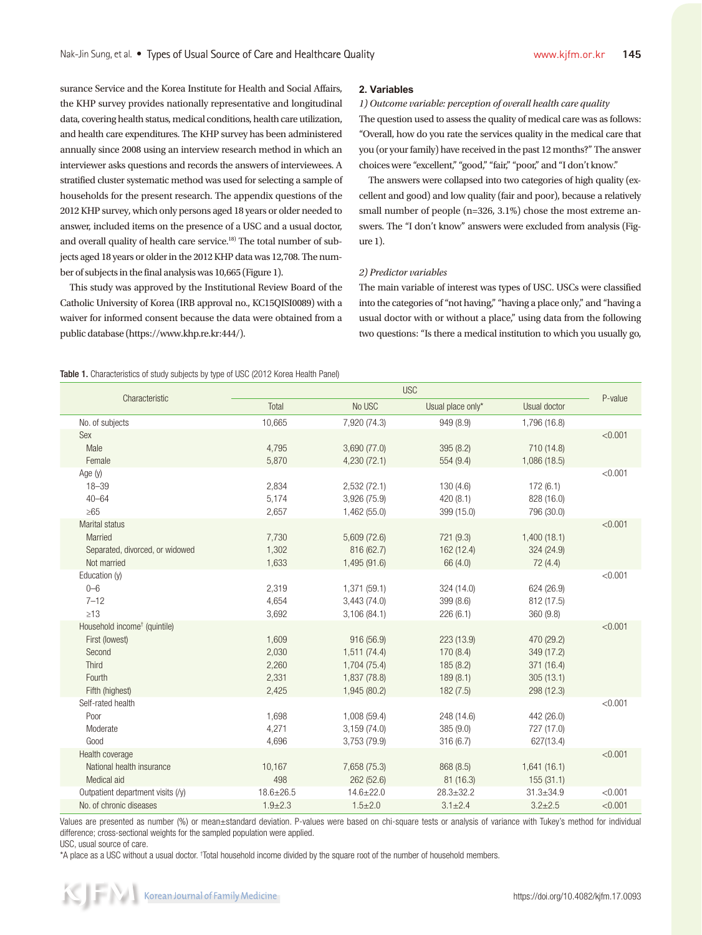surance Service and the Korea Institute for Health and Social Affairs, the KHP survey provides nationally representative and longitudinal data, covering health status, medical conditions, health care utilization, and health care expenditures. The KHP survey has been administered annually since 2008 using an interview research method in which an interviewer asks questions and records the answers of interviewees. A stratified cluster systematic method was used for selecting a sample of households for the present research. The appendix questions of the 2012 KHP survey, which only persons aged 18 years or older needed to answer, included items on the presence of a USC and a usual doctor, and overall quality of health care service.<sup>18)</sup> The total number of subjects aged 18 years or older in the 2012 KHP data was 12,708. The number of subjects in the final analysis was 10,665 (Figure 1).

This study was approved by the Institutional Review Board of the Catholic University of Korea (IRB approval no., KC15QISI0089) with a waiver for informed consent because the data were obtained from a public database (https://www.khp.re.kr:444/).

#### **2. Variables**

*1) Outcome variable: perception of overall health care quality* The question used to assess the quality of medical care was as follows: "Overall, how do you rate the services quality in the medical care that you (or your family) have received in the past 12 months?" The answer choices were "excellent," "good," "fair," "poor," and "I don't know."

The answers were collapsed into two categories of high quality (excellent and good) and low quality (fair and poor), because a relatively small number of people (n=326, 3.1%) chose the most extreme answers. The "I don't know" answers were excluded from analysis (Figure 1).

#### *2) Predictor variables*

The main variable of interest was types of USC. USCs were classified into the categories of "not having," "having a place only," and "having a usual doctor with or without a place," using data from the following two questions: "Is there a medical institution to which you usually go,

Table 1. Characteristics of study subjects by type of USC (2012 Korea Health Panel)

| Characteristic                           | <b>USC</b>      |                 |                   |                 |         |
|------------------------------------------|-----------------|-----------------|-------------------|-----------------|---------|
|                                          | Total           | No USC          | Usual place only* | Usual doctor    | P-value |
| No. of subjects                          | 10,665          | 7,920 (74.3)    | 949 (8.9)         | 1,796 (16.8)    |         |
| Sex                                      |                 |                 |                   |                 | < 0.001 |
| Male                                     | 4,795           | 3,690 (77.0)    | 395 (8.2)         | 710 (14.8)      |         |
| Female                                   | 5.870           | 4,230(72.1)     | 554(9.4)          | 1,086(18.5)     |         |
| Age $(y)$                                |                 |                 |                   |                 | < 0.001 |
| $18 - 39$                                | 2.834           | 2,532(72.1)     | 130(4.6)          | 172(6.1)        |         |
| $40 - 64$                                | 5,174           | 3,926 (75.9)    | 420 (8.1)         | 828 (16.0)      |         |
| $\geq 65$                                | 2,657           | 1,462 (55.0)    | 399 (15.0)        | 796 (30.0)      |         |
| Marital status                           |                 |                 |                   |                 | < 0.001 |
| Married                                  | 7,730           | 5,609 (72.6)    | 721 (9.3)         | 1,400(18.1)     |         |
| Separated, divorced, or widowed          | 1,302           | 816 (62.7)      | 162 (12.4)        | 324 (24.9)      |         |
| Not married                              | 1,633           | 1,495 (91.6)    | 66 (4.0)          | 72(4.4)         |         |
| Education (y)                            |                 |                 |                   |                 | < 0.001 |
| $0 - 6$                                  | 2,319           | 1,371 (59.1)    | 324 (14.0)        | 624 (26.9)      |         |
| $7 - 12$                                 | 4.654           | 3,443(74.0)     | 399 (8.6)         | 812 (17.5)      |         |
| $\geq 13$                                | 3,692           | 3,106 (84.1)    | 226(6.1)          | 360 (9.8)       |         |
| Household income <sup>+</sup> (quintile) |                 |                 |                   |                 | < 0.001 |
| First (lowest)                           | 1,609           | 916 (56.9)      | 223 (13.9)        | 470 (29.2)      |         |
| Second                                   | 2,030           | 1,511(74.4)     | 170 (8.4)         | 349 (17.2)      |         |
| <b>Third</b>                             | 2,260           | 1,704 (75.4)    | 185 (8.2)         | 371 (16.4)      |         |
| Fourth                                   | 2,331           | 1,837 (78.8)    | 189(8.1)          | 305(13.1)       |         |
| Fifth (highest)                          | 2,425           | 1,945 (80.2)    | 182(7.5)          | 298 (12.3)      |         |
| Self-rated health                        |                 |                 |                   |                 | < 0.001 |
| Poor                                     | 1,698           | 1,008 (59.4)    | 248 (14.6)        | 442 (26.0)      |         |
| Moderate                                 | 4,271           | 3,159(74.0)     | 385 (9.0)         | 727 (17.0)      |         |
| Good                                     | 4,696           | 3,753 (79.9)    | 316(6.7)          | 627(13.4)       |         |
| Health coverage                          |                 |                 |                   |                 | < 0.001 |
| National health insurance                | 10,167          | 7,658 (75.3)    | 868 (8.5)         | 1,641(16.1)     |         |
| Medical aid                              | 498             | 262 (52.6)      | 81 (16.3)         | 155(31.1)       |         |
| Outpatient department visits (/y)        | $18.6 \pm 26.5$ | $14.6 \pm 22.0$ | $28.3 \pm 32.2$   | $31.3 \pm 34.9$ | < 0.001 |
| No. of chronic diseases                  | $1.9 + 2.3$     | $1.5 \pm 2.0$   | $3.1 \pm 2.4$     | $3.2 \pm 2.5$   | < 0.001 |

Values are presented as number (%) or mean±standard deviation. P-values were based on chi-square tests or analysis of variance with Tukey's method for individual difference; cross-sectional weights for the sampled population were applied.

USC, usual source of care.

\*A place as a USC without a usual doctor. † Total household income divided by the square root of the number of household members.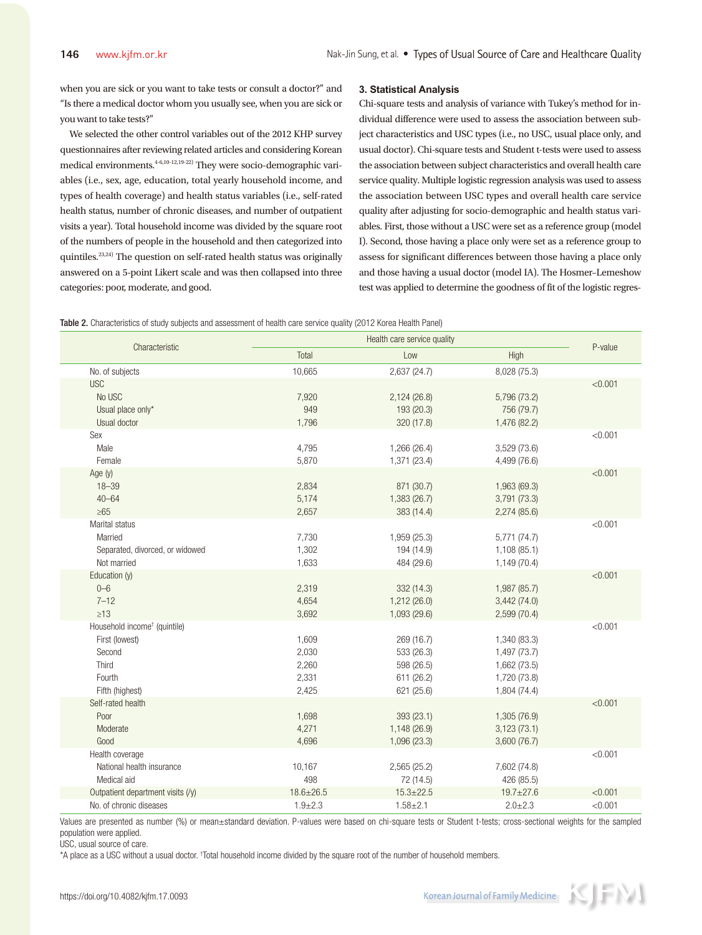when you are sick or you want to take tests or consult a doctor?" and "Is there a medical doctor whom you usually see, when you are sick or you want to take tests?"

We selected the other control variables out of the 2012 KHP survey questionnaires after reviewing related articles and considering Korean medical environments.<sup>4-6,10-12,19-22)</sup> They were socio-demographic variables (i.e., sex, age, education, total yearly household income, and types of health coverage) and health status variables (i.e., self-rated health status, number of chronic diseases, and number of outpatient visits a year). Total household income was divided by the square root of the numbers of people in the household and then categorized into quintiles.<sup>23,24)</sup> The question on self-rated health status was originally answered on a 5-point Likert scale and was then collapsed into three categories: poor, moderate, and good.

#### **3. Statistical Analysis**

Chi-square tests and analysis of variance with Tukey's method for individual difference were used to assess the association between subject characteristics and USC types (i.e., no USC, usual place only, and usual doctor). Chi-square tests and Student t-tests were used to assess the association between subject characteristics and overall health care service quality. Multiple logistic regression analysis was used to assess the association between USC types and overall health care service quality after adjusting for socio-demographic and health status variables. First, those without a USC were set as a reference group (model I). Second, those having a place only were set as a reference group to assess for significant differences between those having a place only and those having a usual doctor (model IA). The Hosmer–Lemeshow test was applied to determine the goodness of fit of the logistic regres-

Table 2. Characteristics of study subjects and assessment of health care service quality (2012 Korea Health Panel)

|                                                                                                            | Health care service quality               |                                                                    |                                                                              |                    |
|------------------------------------------------------------------------------------------------------------|-------------------------------------------|--------------------------------------------------------------------|------------------------------------------------------------------------------|--------------------|
| Characteristic                                                                                             | Total                                     | Low                                                                | High                                                                         | P-value            |
| No. of subjects                                                                                            | 10,665                                    | 2,637 (24.7)                                                       | 8,028 (75.3)                                                                 |                    |
| <b>USC</b><br>No USC<br>Usual place only*<br>Usual doctor                                                  | 7,920<br>949<br>1,796                     | 2,124(26.8)<br>193 (20.3)<br>320 (17.8)                            | 5,796 (73.2)<br>756 (79.7)<br>1,476 (82.2)                                   | < 0.001            |
| Sex<br>Male<br>Female                                                                                      | 4,795<br>5,870                            | 1,266 (26.4)<br>1,371 (23.4)                                       | 3,529 (73.6)<br>4,499 (76.6)                                                 | < 0.001            |
| Age (y)<br>$18 - 39$<br>$40 - 64$<br>$\geq 65$                                                             | 2,834<br>5,174<br>2,657                   | 871 (30.7)<br>1,383 (26.7)<br>383 (14.4)                           | 1,963 (69.3)<br>3,791(73.3)<br>2,274 (85.6)                                  | < 0.001            |
| Marital status<br>Married<br>Separated, divorced, or widowed<br>Not married                                | 7,730<br>1,302<br>1,633                   | 1,959 (25.3)<br>194 (14.9)<br>484 (29.6)                           | 5,771 (74.7)<br>1,108(85.1)<br>1,149 (70.4)                                  | < 0.001            |
| Education (y)<br>$0 - 6$<br>$7 - 12$<br>$\geq 13$                                                          | 2,319<br>4,654<br>3,692                   | 332 (14.3)<br>1,212(26.0)<br>1,093 (29.6)                          | 1,987 (85.7)<br>3,442(74.0)<br>2,599 (70.4)                                  | < 0.001            |
| Household income <sup>+</sup> (quintile)<br>First (lowest)<br>Second<br>Third<br>Fourth<br>Fifth (highest) | 1,609<br>2,030<br>2,260<br>2,331<br>2,425 | 269 (16.7)<br>533 (26.3)<br>598 (26.5)<br>611 (26.2)<br>621 (25.6) | 1,340 (83.3)<br>1,497 (73.7)<br>1,662 (73.5)<br>1,720 (73.8)<br>1,804 (74.4) | < 0.001            |
| Self-rated health<br>Poor<br>Moderate<br>Good                                                              | 1,698<br>4,271<br>4,696                   | 393 (23.1)<br>1,148 (26.9)<br>1,096 (23.3)                         | 1,305 (76.9)<br>3,123(73.1)<br>3,600(76.7)                                   | < 0.001            |
| Health coverage<br>National health insurance<br>Medical aid<br>Outpatient department visits (/y)           | 10,167<br>498<br>$18.6 \pm 26.5$          | 2,565 (25.2)<br>72 (14.5)<br>$15.3 \pm 22.5$                       | 7,602 (74.8)<br>426 (85.5)<br>$19.7 \pm 27.6$                                | < 0.001<br>< 0.001 |
| No. of chronic diseases                                                                                    | $1.9 + 2.3$                               | $1.58 + 2.1$                                                       | $2.0 + 2.3$                                                                  | < 0.001            |

Values are presented as number (%) or mean±standard deviation. P-values were based on chi-square tests or Student t-tests; cross-sectional weights for the sampled population were applied.

USC, usual source of care.

\*A place as a USC without a usual doctor. † Total household income divided by the square root of the number of household members.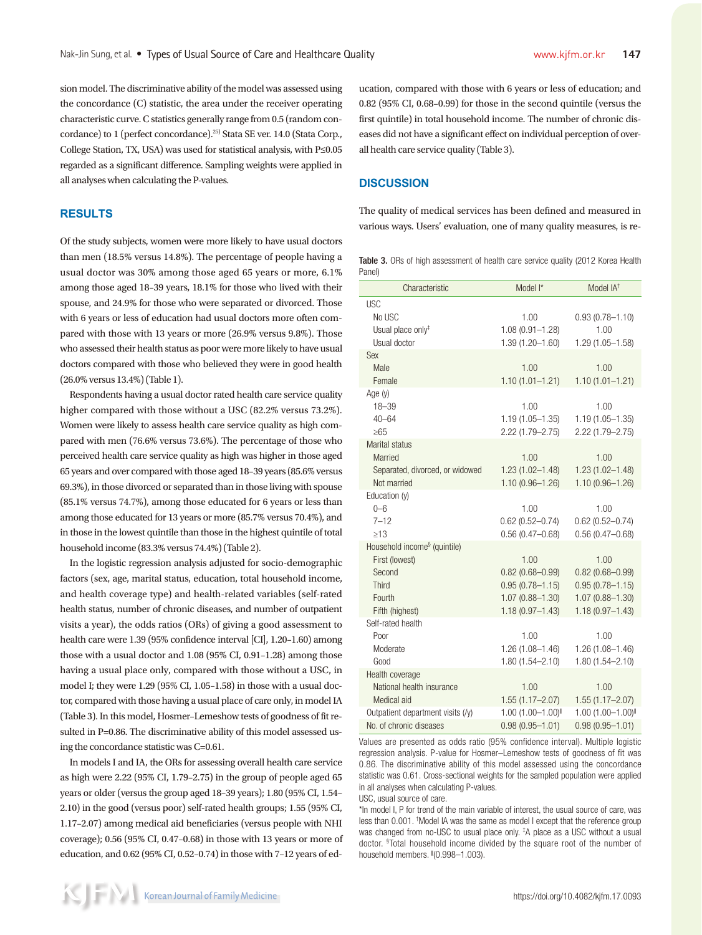sion model. The discriminative ability of the model was assessed using the concordance (C) statistic, the area under the receiver operating characteristic curve. C statistics generally range from 0.5 (random concordance) to 1 (perfect concordance).25) Stata SE ver. 14.0 (Stata Corp., College Station, TX, USA) was used for statistical analysis, with P≤0.05 regarded as a significant difference. Sampling weights were applied in all analyses when calculating the P-values.

# **RESULTS**

Of the study subjects, women were more likely to have usual doctors than men (18.5% versus 14.8%). The percentage of people having a usual doctor was 30% among those aged 65 years or more, 6.1% among those aged 18–39 years, 18.1% for those who lived with their spouse, and 24.9% for those who were separated or divorced. Those with 6 years or less of education had usual doctors more often compared with those with 13 years or more (26.9% versus 9.8%). Those who assessed their health status as poor were more likely to have usual doctors compared with those who believed they were in good health (26.0% versus 13.4%) (Table 1).

Respondents having a usual doctor rated health care service quality higher compared with those without a USC (82.2% versus 73.2%). Women were likely to assess health care service quality as high compared with men (76.6% versus 73.6%). The percentage of those who perceived health care service quality as high was higher in those aged 65 years and over compared with those aged 18–39 years (85.6% versus 69.3%), in those divorced or separated than in those living with spouse (85.1% versus 74.7%), among those educated for 6 years or less than among those educated for 13 years or more (85.7% versus 70.4%), and in those in the lowest quintile than those in the highest quintile of total household income (83.3% versus 74.4%) (Table 2).

In the logistic regression analysis adjusted for socio-demographic factors (sex, age, marital status, education, total household income, and health coverage type) and health-related variables (self-rated health status, number of chronic diseases, and number of outpatient visits a year), the odds ratios (ORs) of giving a good assessment to health care were 1.39 (95% confidence interval [CI], 1.20–1.60) among those with a usual doctor and 1.08 (95% CI, 0.91–1.28) among those having a usual place only, compared with those without a USC, in model I; they were 1.29 (95% CI, 1.05–1.58) in those with a usual doctor, compared with those having a usual place of care only, in model IA (Table 3). In this model, Hosmer–Lemeshow tests of goodness of fit resulted in P=0.86. The discriminative ability of this model assessed using the concordance statistic was C=0.61.

In models I and IA, the ORs for assessing overall health care service as high were 2.22 (95% CI, 1.79–2.75) in the group of people aged 65 years or older (versus the group aged 18–39 years); 1.80 (95% CI, 1.54– 2.10) in the good (versus poor) self-rated health groups; 1.55 (95% CI, 1.17–2.07) among medical aid beneficiaries (versus people with NHI coverage); 0.56 (95% CI, 0.47–0.68) in those with 13 years or more of education, and 0.62 (95% CI, 0.52–0.74) in those with 7–12 years of education, compared with those with 6 years or less of education; and 0.82 (95% CI, 0.68–0.99) for those in the second quintile (versus the first quintile) in total household income. The number of chronic diseases did not have a significant effect on individual perception of overall health care service quality (Table 3).

## **DISCUSSION**

The quality of medical services has been defined and measured in various ways. Users' evaluation, one of many quality measures, is re-

Table 3. ORs of high assessment of health care service quality (2012 Korea Health Panel)

| Characteristic                                                                                                    | Model I*                                                                                         | Model IA <sup>+</sup>                                                                            |
|-------------------------------------------------------------------------------------------------------------------|--------------------------------------------------------------------------------------------------|--------------------------------------------------------------------------------------------------|
| <b>USC</b><br>No USC<br>Usual place only <sup>#</sup><br>Usual doctor                                             | 1.00<br>$1.08(0.91 - 1.28)$<br>1.39 (1.20-1.60)                                                  | $0.93(0.78 - 1.10)$<br>1.00<br>1.29 (1.05-1.58)                                                  |
| Sex<br>Male<br>Female                                                                                             | 1.00<br>$1.10(1.01 - 1.21)$                                                                      | 1.00<br>$1.10(1.01 - 1.21)$                                                                      |
| Age $(y)$<br>$18 - 39$<br>$40 - 64$<br>$\geq 65$                                                                  | 1.00<br>$1.19(1.05 - 1.35)$<br>$2.22(1.79 - 2.75)$                                               | 1.00<br>$1.19(1.05 - 1.35)$<br>2.22 (1.79-2.75)                                                  |
| Marital status<br>Married<br>Separated, divorced, or widowed<br>Not married                                       | 1.00<br>$1.23(1.02 - 1.48)$<br>$1.10(0.96 - 1.26)$                                               | 1.00<br>$1.23(1.02 - 1.48)$<br>$1.10(0.96 - 1.26)$                                               |
| Education (y)<br>$0 - 6$<br>$7 - 12$<br>$\geq$ 13                                                                 | 1.00<br>$0.62(0.52 - 0.74)$<br>$0.56(0.47 - 0.68)$                                               | 1.00<br>$0.62(0.52 - 0.74)$<br>$0.56(0.47 - 0.68)$                                               |
| Household income <sup>§</sup> (quintile)<br>First (lowest)<br>Second<br><b>Third</b><br>Fourth<br>Fifth (highest) | 1.00<br>$0.82(0.68 - 0.99)$<br>$0.95(0.78 - 1.15)$<br>$1.07(0.88 - 1.30)$<br>$1.18(0.97 - 1.43)$ | 1.00<br>$0.82(0.68 - 0.99)$<br>$0.95(0.78 - 1.15)$<br>$1.07(0.88 - 1.30)$<br>$1.18(0.97 - 1.43)$ |
| Self-rated health<br>Poor<br>Moderate<br>Good                                                                     | 1.00<br>1.26 (1.08-1.46)<br>$1.80(1.54 - 2.10)$                                                  | 1.00<br>1.26 (1.08-1.46)<br>1.80 (1.54-2.10)                                                     |
| Health coverage<br>National health insurance<br>Medical aid                                                       | 1.00<br>$1.55(1.17 - 2.07)$                                                                      | 1.00<br>$1.55(1.17 - 2.07)$                                                                      |
| Outpatient department visits (/y)<br>No. of chronic diseases                                                      | 1.00 (1.00-1.00)<br>$0.98(0.95 - 1.01)$                                                          | 1.00 (1.00-1.00)<br>$0.98(0.95 - 1.01)$                                                          |

Values are presented as odds ratio (95% confidence interval). Multiple logistic regression analysis. P-value for Hosmer–Lemeshow tests of goodness of fit was 0.86. The discriminative ability of this model assessed using the concordance statistic was 0.61. Cross-sectional weights for the sampled population were applied in all analyses when calculating P-values.

USC, usual source of care.

\*In model I, P for trend of the main variable of interest, the usual source of care, was less than 0.001. † Model IA was the same as model I except that the reference group was changed from no-USC to usual place only. <sup>‡</sup>A place as a USC without a usual doctor. § Total household income divided by the square root of the number of household members. <sup>∥</sup> (0.998–1.003).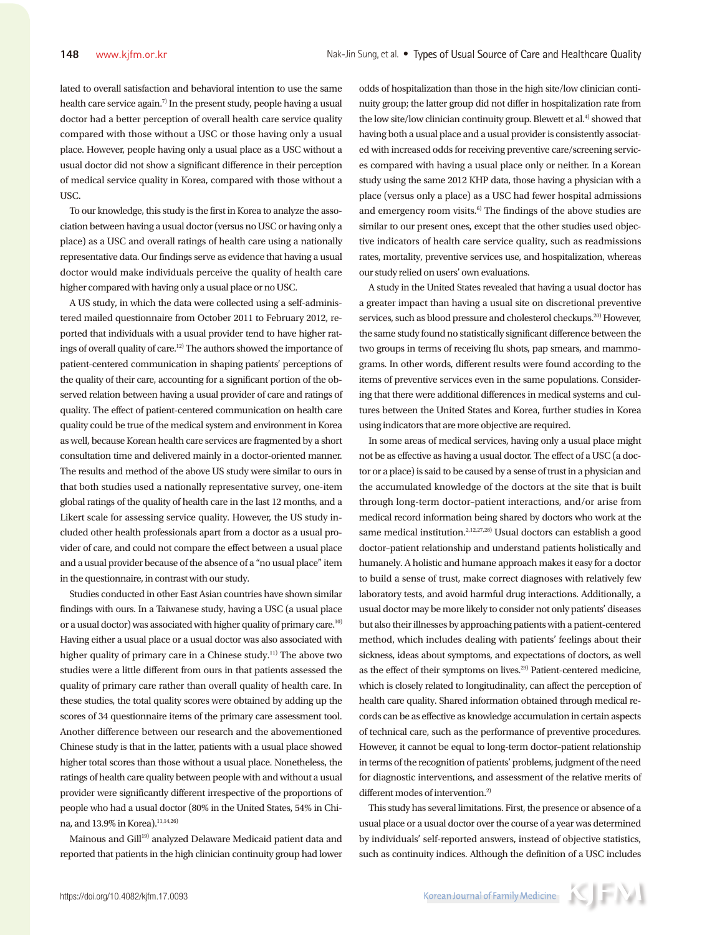lated to overall satisfaction and behavioral intention to use the same health care service again.<sup>7)</sup> In the present study, people having a usual doctor had a better perception of overall health care service quality compared with those without a USC or those having only a usual place. However, people having only a usual place as a USC without a usual doctor did not show a significant difference in their perception of medical service quality in Korea, compared with those without a USC.

To our knowledge, this study is the first in Korea to analyze the association between having a usual doctor (versus no USC or having only a place) as a USC and overall ratings of health care using a nationally representative data. Our findings serve as evidence that having a usual doctor would make individuals perceive the quality of health care higher compared with having only a usual place or no USC.

A US study, in which the data were collected using a self-administered mailed questionnaire from October 2011 to February 2012, reported that individuals with a usual provider tend to have higher ratings of overall quality of care.12) The authors showed the importance of patient-centered communication in shaping patients' perceptions of the quality of their care, accounting for a significant portion of the observed relation between having a usual provider of care and ratings of quality. The effect of patient-centered communication on health care quality could be true of the medical system and environment in Korea as well, because Korean health care services are fragmented by a short consultation time and delivered mainly in a doctor-oriented manner. The results and method of the above US study were similar to ours in that both studies used a nationally representative survey, one-item global ratings of the quality of health care in the last 12 months, and a Likert scale for assessing service quality. However, the US study included other health professionals apart from a doctor as a usual provider of care, and could not compare the effect between a usual place and a usual provider because of the absence of a "no usual place" item in the questionnaire, in contrast with our study.

Studies conducted in other East Asian countries have shown similar findings with ours. In a Taiwanese study, having a USC (a usual place or a usual doctor) was associated with higher quality of primary care.10) Having either a usual place or a usual doctor was also associated with higher quality of primary care in a Chinese study.<sup>11)</sup> The above two studies were a little different from ours in that patients assessed the quality of primary care rather than overall quality of health care. In these studies, the total quality scores were obtained by adding up the scores of 34 questionnaire items of the primary care assessment tool. Another difference between our research and the abovementioned Chinese study is that in the latter, patients with a usual place showed higher total scores than those without a usual place. Nonetheless, the ratings of health care quality between people with and without a usual provider were significantly different irrespective of the proportions of people who had a usual doctor (80% in the United States, 54% in China, and 13.9% in Korea).<sup>11,14,26)</sup>

Mainous and Gill<sup>19)</sup> analyzed Delaware Medicaid patient data and reported that patients in the high clinician continuity group had lower odds of hospitalization than those in the high site/low clinician continuity group; the latter group did not differ in hospitalization rate from the low site/low clinician continuity group. Blewett et al.<sup>4)</sup> showed that having both a usual place and a usual provider is consistently associated with increased odds for receiving preventive care/screening services compared with having a usual place only or neither. In a Korean study using the same 2012 KHP data, those having a physician with a place (versus only a place) as a USC had fewer hospital admissions and emergency room visits. $6$  The findings of the above studies are similar to our present ones, except that the other studies used objective indicators of health care service quality, such as readmissions rates, mortality, preventive services use, and hospitalization, whereas our study relied on users' own evaluations.

A study in the United States revealed that having a usual doctor has a greater impact than having a usual site on discretional preventive services, such as blood pressure and cholesterol checkups.<sup>20)</sup> However, the same study found no statistically significant difference between the two groups in terms of receiving flu shots, pap smears, and mammograms. In other words, different results were found according to the items of preventive services even in the same populations. Considering that there were additional differences in medical systems and cultures between the United States and Korea, further studies in Korea using indicators that are more objective are required.

In some areas of medical services, having only a usual place might not be as effective as having a usual doctor. The effect of a USC (a doctor or a place) is said to be caused by a sense of trust in a physician and the accumulated knowledge of the doctors at the site that is built through long-term doctor–patient interactions, and/or arise from medical record information being shared by doctors who work at the same medical institution.<sup>2,12,27,28)</sup> Usual doctors can establish a good doctor–patient relationship and understand patients holistically and humanely. A holistic and humane approach makes it easy for a doctor to build a sense of trust, make correct diagnoses with relatively few laboratory tests, and avoid harmful drug interactions. Additionally, a usual doctor may be more likely to consider not only patients' diseases but also their illnesses by approaching patients with a patient-centered method, which includes dealing with patients' feelings about their sickness, ideas about symptoms, and expectations of doctors, as well as the effect of their symptoms on lives.29) Patient-centered medicine, which is closely related to longitudinality, can affect the perception of health care quality. Shared information obtained through medical records can be as effective as knowledge accumulation in certain aspects of technical care, such as the performance of preventive procedures. However, it cannot be equal to long-term doctor–patient relationship in terms of the recognition of patients' problems, judgment of the need for diagnostic interventions, and assessment of the relative merits of different modes of intervention.<sup>2)</sup>

This study has several limitations. First, the presence or absence of a usual place or a usual doctor over the course of a year was determined by individuals' self-reported answers, instead of objective statistics, such as continuity indices. Although the definition of a USC includes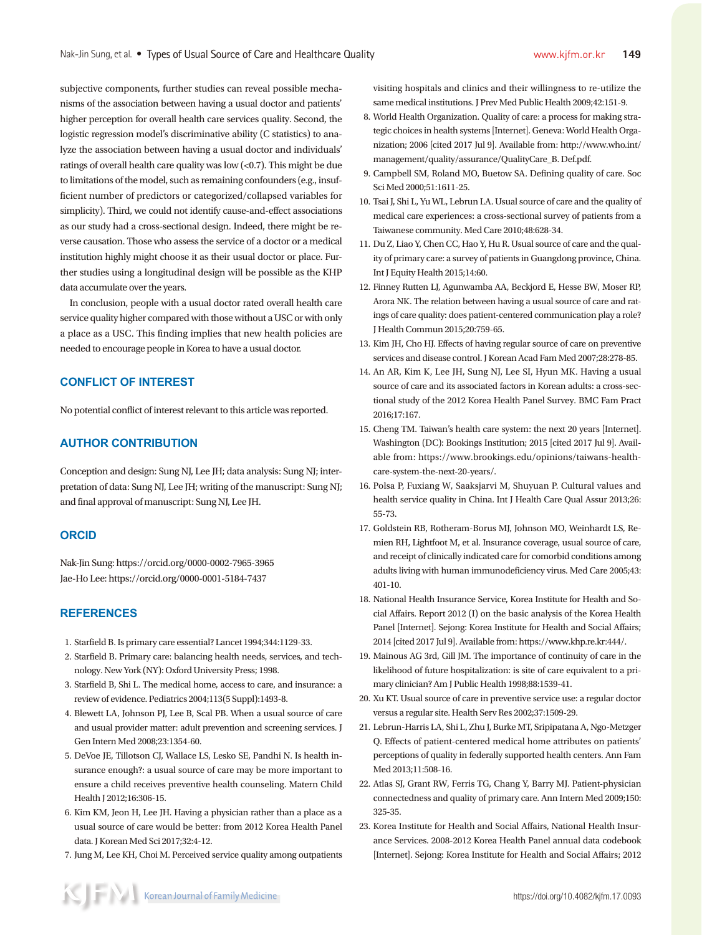subjective components, further studies can reveal possible mechanisms of the association between having a usual doctor and patients' higher perception for overall health care services quality. Second, the logistic regression model's discriminative ability (C statistics) to analyze the association between having a usual doctor and individuals' ratings of overall health care quality was low (<0.7). This might be due to limitations of the model, such as remaining confounders (e.g., insufficient number of predictors or categorized/collapsed variables for simplicity). Third, we could not identify cause-and-effect associations as our study had a cross-sectional design. Indeed, there might be reverse causation. Those who assess the service of a doctor or a medical institution highly might choose it as their usual doctor or place. Further studies using a longitudinal design will be possible as the KHP data accumulate over the years.

In conclusion, people with a usual doctor rated overall health care service quality higher compared with those without a USC or with only a place as a USC. This finding implies that new health policies are needed to encourage people in Korea to have a usual doctor.

# **CONFLICT OF INTEREST**

No potential conflict of interest relevant to this article was reported.

# **AUTHOR CONTRIBUTION**

Conception and design: Sung NJ, Lee JH; data analysis: Sung NJ; interpretation of data: Sung NJ, Lee JH; writing of the manuscript: Sung NJ; and final approval of manuscript: Sung NJ, Lee JH.

# **ORCID**

Nak-Jin Sung: https://orcid.org/0000-0002-7965-3965 Jae-Ho Lee: https://orcid.org/0000-0001-5184-7437

# **REFERENCES**

- 1. Starfield B. Is primary care essential? Lancet 1994;344:1129-33.
- 2. Starfield B. Primary care: balancing health needs, services, and technology. New York (NY): Oxford University Press; 1998.
- 3. Starfield B, Shi L. The medical home, access to care, and insurance: a review of evidence. Pediatrics 2004;113(5 Suppl):1493-8.
- 4. Blewett LA, Johnson PJ, Lee B, Scal PB. When a usual source of care and usual provider matter: adult prevention and screening services. J Gen Intern Med 2008;23:1354-60.
- 5. DeVoe JE, Tillotson CJ, Wallace LS, Lesko SE, Pandhi N. Is health insurance enough?: a usual source of care may be more important to ensure a child receives preventive health counseling. Matern Child Health J 2012;16:306-15.
- 6. Kim KM, Jeon H, Lee JH. Having a physician rather than a place as a usual source of care would be better: from 2012 Korea Health Panel data. J Korean Med Sci 2017;32:4-12.
- 7. Jung M, Lee KH, Choi M. Perceived service quality among outpatients

visiting hospitals and clinics and their willingness to re-utilize the same medical institutions. J Prev Med Public Health 2009;42:151-9.

- 8. World Health Organization. Quality of care: a process for making strategic choices in health systems [Internet]. Geneva: World Health Organization; 2006 [cited 2017 Jul 9]. Available from: http://www.who.int/ management/quality/assurance/QualityCare\_B. Def.pdf.
- 9. Campbell SM, Roland MO, Buetow SA. Defining quality of care. Soc Sci Med 2000;51:1611-25.
- 10. Tsai J, Shi L, Yu WL, Lebrun LA. Usual source of care and the quality of medical care experiences: a cross-sectional survey of patients from a Taiwanese community. Med Care 2010;48:628-34.
- 11. Du Z, Liao Y, Chen CC, Hao Y, Hu R. Usual source of care and the quality of primary care: a survey of patients in Guangdong province, China. Int J Equity Health 2015;14:60.
- 12. Finney Rutten LJ, Agunwamba AA, Beckjord E, Hesse BW, Moser RP, Arora NK. The relation between having a usual source of care and ratings of care quality: does patient-centered communication play a role? J Health Commun 2015;20:759-65.
- 13. Kim JH, Cho HJ. Effects of having regular source of care on preventive services and disease control. J Korean Acad Fam Med 2007;28:278-85.
- 14. An AR, Kim K, Lee JH, Sung NJ, Lee SI, Hyun MK. Having a usual source of care and its associated factors in Korean adults: a cross-sectional study of the 2012 Korea Health Panel Survey. BMC Fam Pract 2016;17:167.
- 15. Cheng TM. Taiwan's health care system: the next 20 years [Internet]. Washington (DC): Bookings Institution; 2015 [cited 2017 Jul 9]. Available from: https://www.brookings.edu/opinions/taiwans-healthcare-system-the-next-20-years/.
- 16. Polsa P, Fuxiang W, Saaksjarvi M, Shuyuan P. Cultural values and health service quality in China. Int J Health Care Qual Assur 2013;26: 55-73.
- 17. Goldstein RB, Rotheram-Borus MJ, Johnson MO, Weinhardt LS, Remien RH, Lightfoot M, et al. Insurance coverage, usual source of care, and receipt of clinically indicated care for comorbid conditions among adults living with human immunodeficiency virus. Med Care 2005;43: 401-10.
- 18. National Health Insurance Service, Korea Institute for Health and Social Affairs. Report 2012 (I) on the basic analysis of the Korea Health Panel [Internet]. Sejong: Korea Institute for Health and Social Affairs; 2014 [cited 2017 Jul 9]. Available from: https://www.khp.re.kr:444/.
- 19. Mainous AG 3rd, Gill JM. The importance of continuity of care in the likelihood of future hospitalization: is site of care equivalent to a primary clinician? Am J Public Health 1998;88:1539-41.
- 20. Xu KT. Usual source of care in preventive service use: a regular doctor versus a regular site. Health Serv Res 2002;37:1509-29.
- 21. Lebrun-Harris LA, Shi L, Zhu J, Burke MT, Sripipatana A, Ngo-Metzger Q. Effects of patient-centered medical home attributes on patients' perceptions of quality in federally supported health centers. Ann Fam Med 2013;11:508-16.
- 22. Atlas SJ, Grant RW, Ferris TG, Chang Y, Barry MJ. Patient-physician connectedness and quality of primary care. Ann Intern Med 2009;150: 325-35.
- 23. Korea Institute for Health and Social Affairs, National Health Insurance Services. 2008-2012 Korea Health Panel annual data codebook [Internet]. Sejong: Korea Institute for Health and Social Affairs; 2012